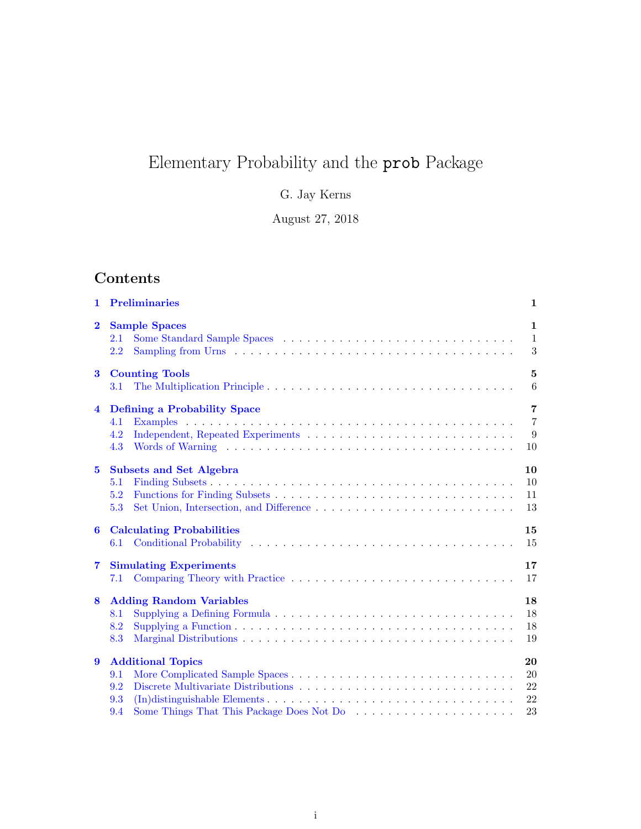# Elementary Probability and the prob Package

G. Jay Kerns

August 27, 2018

# Contents

| 1                       | <b>Preliminaries</b>                                                                                                                                               | $\mathbf{1}$                          |
|-------------------------|--------------------------------------------------------------------------------------------------------------------------------------------------------------------|---------------------------------------|
| $\bf{2}$                | <b>Sample Spaces</b><br>2.1<br>2.2                                                                                                                                 | 1<br>$\mathbf{1}$<br>$\boldsymbol{3}$ |
| $\bf{3}$                | <b>Counting Tools</b><br>The Multiplication Principle<br>3.1                                                                                                       | $\bf{5}$<br>$6\phantom{.}6$           |
| $\overline{\mathbf{4}}$ | <b>Defining a Probability Space</b><br>4.1<br>4.2<br>4.3                                                                                                           | 7<br>$\overline{7}$<br>9<br>10        |
| $\overline{5}$          | <b>Subsets and Set Algebra</b><br>5.1<br>5.2<br>5.3                                                                                                                | 10<br>10<br>11<br>13                  |
| $\bf{6}$                | <b>Calculating Probabilities</b><br>6.1                                                                                                                            | 15<br>15                              |
| $\overline{\mathbf{7}}$ | <b>Simulating Experiments</b><br>7.1                                                                                                                               | 17<br>17                              |
| 8                       | <b>Adding Random Variables</b><br>Supplying a Defining Formula $\ldots \ldots \ldots \ldots \ldots \ldots \ldots \ldots \ldots \ldots \ldots$<br>8.1<br>8.2<br>8.3 | 18<br>18<br>18<br>19                  |
| 9                       | <b>Additional Topics</b><br>9.1<br>9.2<br>9.3<br>9.4                                                                                                               | 20<br>20<br>22<br>22<br>23            |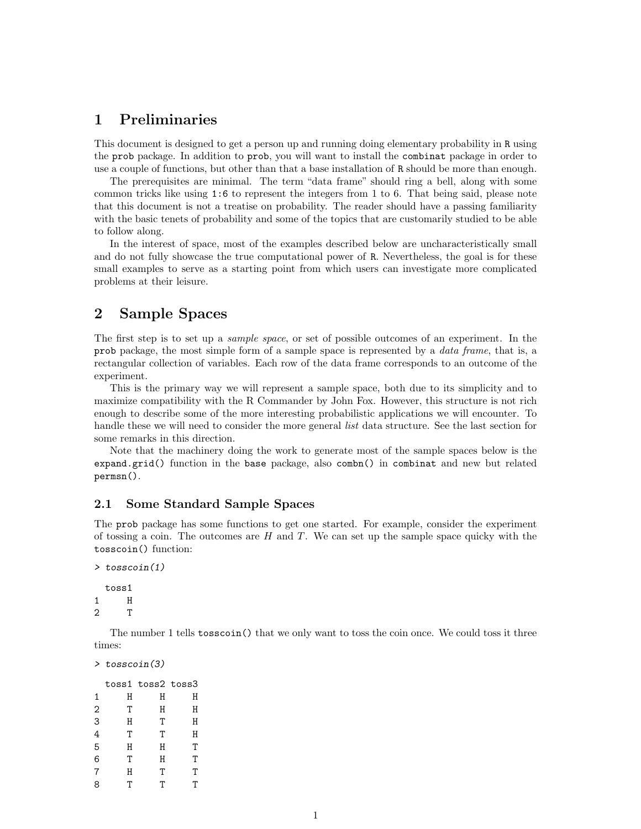# <span id="page-1-0"></span>1 Preliminaries

This document is designed to get a person up and running doing elementary probability in R using the prob package. In addition to prob, you will want to install the combinat package in order to use a couple of functions, but other than that a base installation of R should be more than enough.

The prerequisites are minimal. The term "data frame" should ring a bell, along with some common tricks like using 1:6 to represent the integers from 1 to 6. That being said, please note that this document is not a treatise on probability. The reader should have a passing familiarity with the basic tenets of probability and some of the topics that are customarily studied to be able to follow along.

In the interest of space, most of the examples described below are uncharacteristically small and do not fully showcase the true computational power of R. Nevertheless, the goal is for these small examples to serve as a starting point from which users can investigate more complicated problems at their leisure.

# <span id="page-1-1"></span>2 Sample Spaces

The first step is to set up a sample space, or set of possible outcomes of an experiment. In the prob package, the most simple form of a sample space is represented by a data frame, that is, a rectangular collection of variables. Each row of the data frame corresponds to an outcome of the experiment.

This is the primary way we will represent a sample space, both due to its simplicity and to maximize compatibility with the R Commander by John Fox. However, this structure is not rich enough to describe some of the more interesting probabilistic applications we will encounter. To handle these we will need to consider the more general *list* data structure. See the last section for some remarks in this direction.

Note that the machinery doing the work to generate most of the sample spaces below is the expand.grid() function in the base package, also combn() in combinat and new but related permsn().

### <span id="page-1-2"></span>2.1 Some Standard Sample Spaces

The prob package has some functions to get one started. For example, consider the experiment of tossing a coin. The outcomes are  $H$  and  $T$ . We can set up the sample space quicky with the tosscoin() function:

```
> tosscoin(1)
 toss1
1 H
2 T
```
The number 1 tells tosscoin() that we only want to toss the coin once. We could toss it three times:

```
> tosscoin(3)
```

|   |   | toss1 toss2 toss3 |   |
|---|---|-------------------|---|
| 1 | Η | Η                 | Η |
| 2 | T | Н                 | Η |
| 3 | Η | T                 | Η |
| 4 | T | T                 | Η |
| 5 | Η | Η                 | Т |
| 6 | Т | Η                 | Т |
| 7 | Η | T                 | Т |
| 8 | Τ | Т                 | Τ |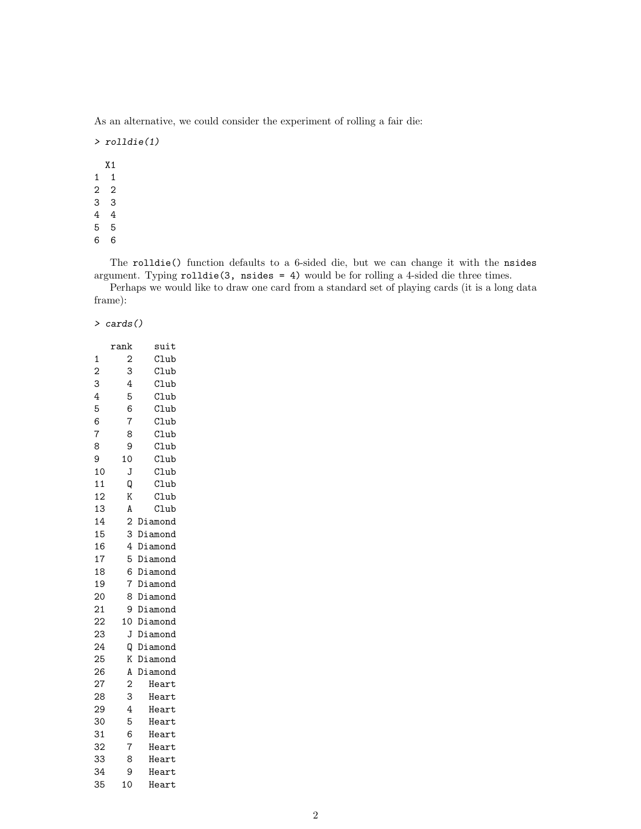As an alternative, we could consider the experiment of rolling a fair die:

> rolldie(1)

The rolldie() function defaults to a 6-sided die, but we can change it with the nsides argument. Typing rolldie(3, nsides = 4) would be for rolling a 4-sided die three times.

Perhaps we would like to draw one card from a standard set of playing cards (it is a long data frame):

> cards()

|                | rank           | suit    |
|----------------|----------------|---------|
| 1              | $\overline{c}$ | Club    |
| $\overline{c}$ | 3              | Club    |
| 3              | $\overline{4}$ | Club    |
| 4              | 5              | Club    |
| 5              | 6              | Club    |
| 6              | 7              | Club    |
| $\overline{7}$ | 8              | Club    |
| 8              | 9              | Club    |
| 9              | 10             | Club    |
| 10             | J              | Club    |
| 11             | Q              | Club    |
| 12             | K              | Club    |
| 13             | A              | Club    |
| 14             | $\overline{c}$ | Diamond |
| 15             | 3              | Diamond |
| 16             | 4              | Diamond |
| 17             | 5              | Diamond |
| 18             | 6              | Diamond |
| 19             | 7              | Diamond |
| 20             | 8              | Diamond |
| 21             | 9              | Diamond |
| 22             | 10             | Diamond |
| 23             | J              | Diamond |
| 24             | Q              | Diamond |
| 25             | K              | Diamond |
| 26             | A              | Diamond |
| 27             | $\mathbf{c}$   | Heart   |
| 28             | 3              | Heart   |
| 29             | 4              | Heart   |
| 30             | 5              | Heart   |
| 31             | 6              | Heart   |
| 32             | 7              | Heart   |
| 33             | 8              | Heart   |
| 34             | 9              | Heart   |
| 35             | 10             | Heart   |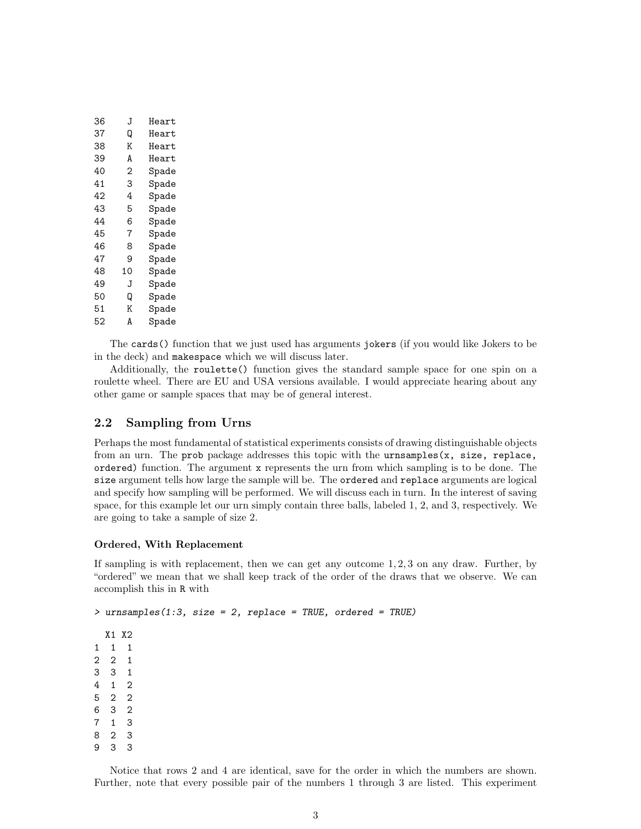| 36 | J  | Heart |
|----|----|-------|
| 37 | Q  | Heart |
| 38 | Κ  | Heart |
| 39 | A  | Heart |
| 40 | 2  | Spade |
| 41 | 3  | Spade |
| 42 | 4  | Spade |
| 43 | 5  | Spade |
| 44 | 6  | Spade |
| 45 | 7  | Spade |
| 46 | 8  | Spade |
| 47 | 9  | Spade |
| 48 | 10 | Spade |
| 49 | J  | Spade |
| 50 | Q  | Spade |
| 51 | Κ  | Spade |
| 52 | A  | Spade |
|    |    |       |

The cards() function that we just used has arguments jokers (if you would like Jokers to be in the deck) and makespace which we will discuss later.

Additionally, the roulette() function gives the standard sample space for one spin on a roulette wheel. There are EU and USA versions available. I would appreciate hearing about any other game or sample spaces that may be of general interest.

## <span id="page-3-0"></span>2.2 Sampling from Urns

Perhaps the most fundamental of statistical experiments consists of drawing distinguishable objects from an urn. The prob package addresses this topic with the urnsamples(x, size, replace, ordered) function. The argument x represents the urn from which sampling is to be done. The size argument tells how large the sample will be. The ordered and replace arguments are logical and specify how sampling will be performed. We will discuss each in turn. In the interest of saving space, for this example let our urn simply contain three balls, labeled 1, 2, and 3, respectively. We are going to take a sample of size 2.

#### Ordered, With Replacement

8 2 3 9 3 3

If sampling is with replacement, then we can get any outcome 1, 2, 3 on any draw. Further, by "ordered" we mean that we shall keep track of the order of the draws that we observe. We can accomplish this in R with

```
> urnsamples(1:3, size = 2, replace = TRUE, ordered = TRUE)
 X1 X2
1 1 1
2 2 1
3 3 1
4 1 2
5 2 2
6 3 2
7 1 3
```
Notice that rows 2 and 4 are identical, save for the order in which the numbers are shown. Further, note that every possible pair of the numbers 1 through 3 are listed. This experiment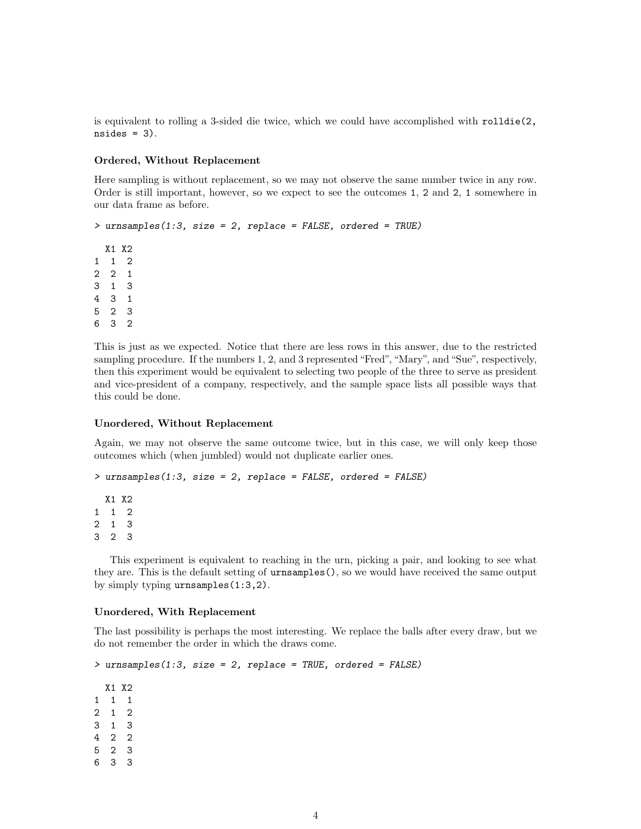is equivalent to rolling a 3-sided die twice, which we could have accomplished with rolldie(2,  $nsides = 3$ .

#### Ordered, Without Replacement

Here sampling is without replacement, so we may not observe the same number twice in any row. Order is still important, however, so we expect to see the outcomes 1, 2 and 2, 1 somewhere in our data frame as before.

```
> urnsamples(1:3, size = 2, replace = FALSE, ordered = TRUE)
```
This is just as we expected. Notice that there are less rows in this answer, due to the restricted sampling procedure. If the numbers 1, 2, and 3 represented "Fred", "Mary", and "Sue", respectively, then this experiment would be equivalent to selecting two people of the three to serve as president and vice-president of a company, respectively, and the sample space lists all possible ways that this could be done.

#### Unordered, Without Replacement

Again, we may not observe the same outcome twice, but in this case, we will only keep those outcomes which (when jumbled) would not duplicate earlier ones.

```
> urnsamples(1:3, size = 2, replace = FALSE, ordered = FALSE)
```
This experiment is equivalent to reaching in the urn, picking a pair, and looking to see what they are. This is the default setting of urnsamples(), so we would have received the same output by simply typing urnsamples(1:3,2).

#### Unordered, With Replacement

The last possibility is perhaps the most interesting. We replace the balls after every draw, but we do not remember the order in which the draws come.

```
> urnsamples(1:3, size = 2, replace = TRUE, ordered = FALSE)
```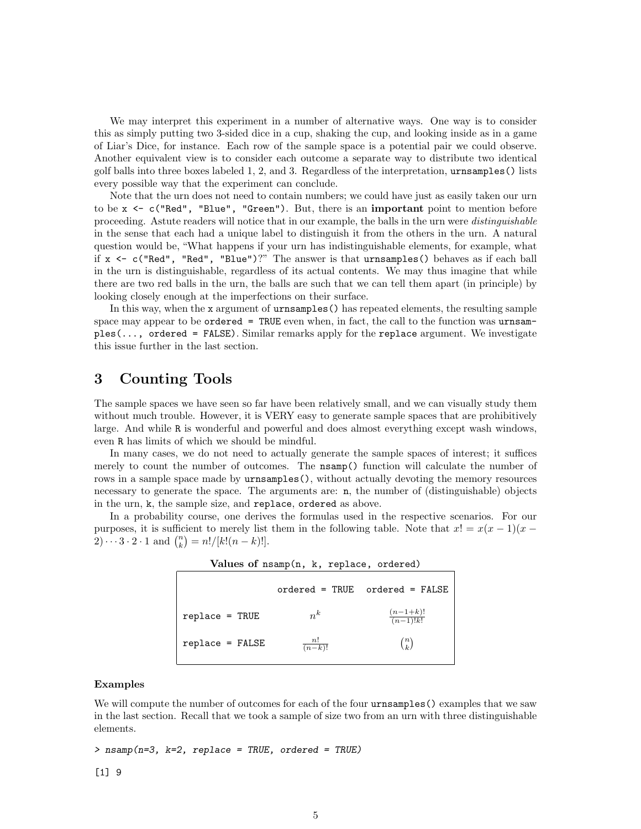We may interpret this experiment in a number of alternative ways. One way is to consider this as simply putting two 3-sided dice in a cup, shaking the cup, and looking inside as in a game of Liar's Dice, for instance. Each row of the sample space is a potential pair we could observe. Another equivalent view is to consider each outcome a separate way to distribute two identical golf balls into three boxes labeled 1, 2, and 3. Regardless of the interpretation, urnsamples() lists every possible way that the experiment can conclude.

Note that the urn does not need to contain numbers; we could have just as easily taken our urn to be  $x \leq c$  ("Red", "Blue", "Green"). But, there is an important point to mention before proceeding. Astute readers will notice that in our example, the balls in the urn were distinguishable in the sense that each had a unique label to distinguish it from the others in the urn. A natural question would be, "What happens if your urn has indistinguishable elements, for example, what if x <- c("Red", "Red", "Blue")?" The answer is that urnsamples() behaves as if each ball in the urn is distinguishable, regardless of its actual contents. We may thus imagine that while there are two red balls in the urn, the balls are such that we can tell them apart (in principle) by looking closely enough at the imperfections on their surface.

In this way, when the x argument of urnsamples() has repeated elements, the resulting sample space may appear to be ordered = TRUE even when, in fact, the call to the function was urnsamples(..., ordered = FALSE). Similar remarks apply for the replace argument. We investigate this issue further in the last section.

# <span id="page-5-0"></span>3 Counting Tools

The sample spaces we have seen so far have been relatively small, and we can visually study them without much trouble. However, it is VERY easy to generate sample spaces that are prohibitively large. And while R is wonderful and powerful and does almost everything except wash windows, even R has limits of which we should be mindful.

In many cases, we do not need to actually generate the sample spaces of interest; it suffices merely to count the number of outcomes. The nsamp() function will calculate the number of rows in a sample space made by **urnsamples**(), without actually devoting the memory resources necessary to generate the space. The arguments are: n, the number of (distinguishable) objects in the urn, k, the sample size, and replace, ordered as above.

In a probability course, one derives the formulas used in the respective scenarios. For our purposes, it is sufficient to merely list them in the following table. Note that  $x! = x(x-1)(x-$ 2) · · · 3 · 2 · 1 and  $\binom{n}{k} = n!/[k!(n-k)!]$ .

| Values of nsamp(n, k, replace, ordered) |                     |                                    |  |  |  |
|-----------------------------------------|---------------------|------------------------------------|--|--|--|
|                                         |                     | $ordered = TRUE$ ordered = $FALSE$ |  |  |  |
| $replace = TRUE$                        | $n^{k}$             | $\frac{(n-1+k)!}{(n-1)!k!}$        |  |  |  |
| $replace = FALSE$                       | $\frac{n!}{(n-k)!}$ | $\binom{n}{k}$                     |  |  |  |

#### Examples

We will compute the number of outcomes for each of the four **urnsamples** () examples that we saw in the last section. Recall that we took a sample of size two from an urn with three distinguishable elements.

 $>$  nsamp(n=3, k=2, replace = TRUE, ordered = TRUE)

[1] 9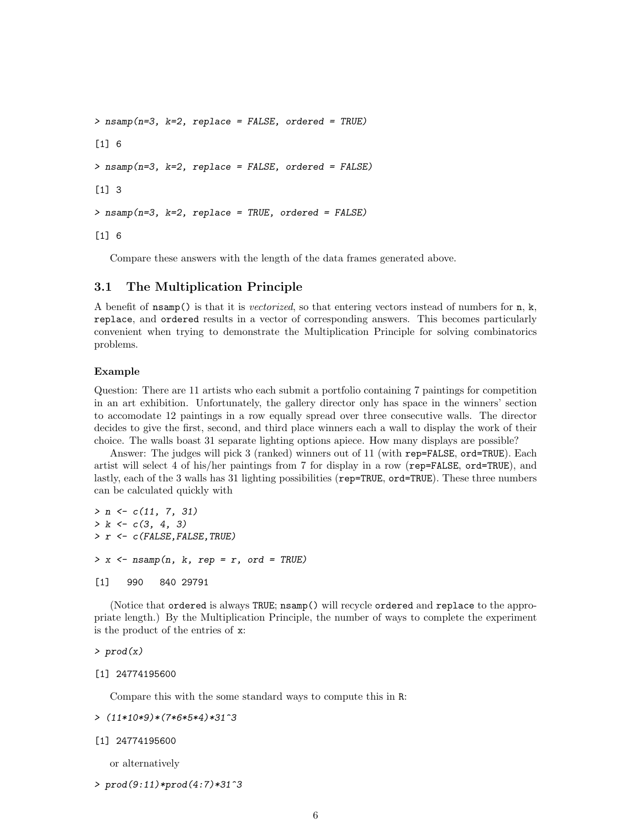```
> nsamp(n=3, k=2, replace = FALSE, ordered = TRUE)
[1] 6
> nsamp(n=3, k=2, replace = FALSE, ordered = FALSE)
[1] 3
> nsamp(n=3, k=2, replace = TRUE, ordered = FALSE)
[1] 6
```
Compare these answers with the length of the data frames generated above.

# <span id="page-6-0"></span>3.1 The Multiplication Principle

A benefit of  $n \text{ samp}()$  is that it is *vectorized*, so that entering vectors instead of numbers for n, k, replace, and ordered results in a vector of corresponding answers. This becomes particularly convenient when trying to demonstrate the Multiplication Principle for solving combinatorics problems.

#### Example

Question: There are 11 artists who each submit a portfolio containing 7 paintings for competition in an art exhibition. Unfortunately, the gallery director only has space in the winners' section to accomodate 12 paintings in a row equally spread over three consecutive walls. The director decides to give the first, second, and third place winners each a wall to display the work of their choice. The walls boast 31 separate lighting options apiece. How many displays are possible?

Answer: The judges will pick 3 (ranked) winners out of 11 (with rep=FALSE, ord=TRUE). Each artist will select 4 of his/her paintings from 7 for display in a row (rep=FALSE, ord=TRUE), and lastly, each of the 3 walls has 31 lighting possibilities (rep=TRUE, ord=TRUE). These three numbers can be calculated quickly with

```
> n \leftarrow c(11, 7, 31)> k \leftarrow c(3, 4, 3)> r <- c (FALSE, FALSE, TRUE)
> x < - nsamp(n, k, rep = r, ord = TRUE)
[1] 990 840 29791
```
(Notice that ordered is always TRUE; nsamp() will recycle ordered and replace to the appropriate length.) By the Multiplication Principle, the number of ways to complete the experiment is the product of the entries of x:

```
> prod(x)
```

```
[1] 24774195600
```
Compare this with the some standard ways to compute this in R:

```
> (11*10*9)*(7*6*5*4)*31^3
```

```
[1] 24774195600
```
or alternatively

```
> prod(9:11)*prod(4:7)*31^3
```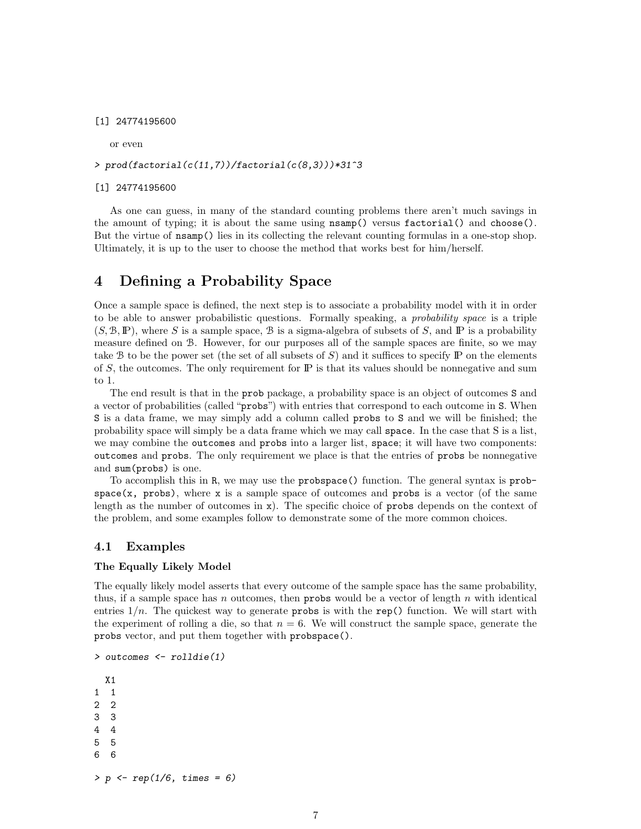#### [1] 24774195600

or even

#### > prod(factorial(c(11,7))/factorial(c(8,3)))\*31^3

#### [1] 24774195600

As one can guess, in many of the standard counting problems there aren't much savings in the amount of typing; it is about the same using nsamp() versus factorial() and choose(). But the virtue of nsamp() lies in its collecting the relevant counting formulas in a one-stop shop. Ultimately, it is up to the user to choose the method that works best for him/herself.

# <span id="page-7-0"></span>4 Defining a Probability Space

Once a sample space is defined, the next step is to associate a probability model with it in order to be able to answer probabilistic questions. Formally speaking, a probability space is a triple  $(S, \mathcal{B}, \mathbb{P})$ , where S is a sample space, B is a sigma-algebra of subsets of S, and P is a probability measure defined on B. However, for our purposes all of the sample spaces are finite, so we may take B to be the power set (the set of all subsets of  $S$ ) and it suffices to specify IP on the elements of  $S$ , the outcomes. The only requirement for  $\mathbb P$  is that its values should be nonnegative and sum to 1.

The end result is that in the prob package, a probability space is an object of outcomes S and a vector of probabilities (called "probs") with entries that correspond to each outcome in S. When S is a data frame, we may simply add a column called probs to S and we will be finished; the probability space will simply be a data frame which we may call space. In the case that S is a list, we may combine the outcomes and probs into a larger list, space; it will have two components: outcomes and probs. The only requirement we place is that the entries of probs be nonnegative and sum(probs) is one.

To accomplish this in R, we may use the probspace() function. The general syntax is prob $space(x, probes), where x is a sample space of outcomes and probes is a vector (of the same$ length as the number of outcomes in x). The specific choice of probs depends on the context of the problem, and some examples follow to demonstrate some of the more common choices.

#### <span id="page-7-1"></span>4.1 Examples

#### The Equally Likely Model

> outcomes <- rolldie(1)

The equally likely model asserts that every outcome of the sample space has the same probability, thus, if a sample space has n outcomes, then probs would be a vector of length  $n$  with identical entries  $1/n$ . The quickest way to generate probs is with the rep() function. We will start with the experiment of rolling a die, so that  $n = 6$ . We will construct the sample space, generate the probs vector, and put them together with probspace().

```
X1
1 1
2 2
3 3
4 4
5 5
6 6
> p \leq rep(1/6, times = 6)
```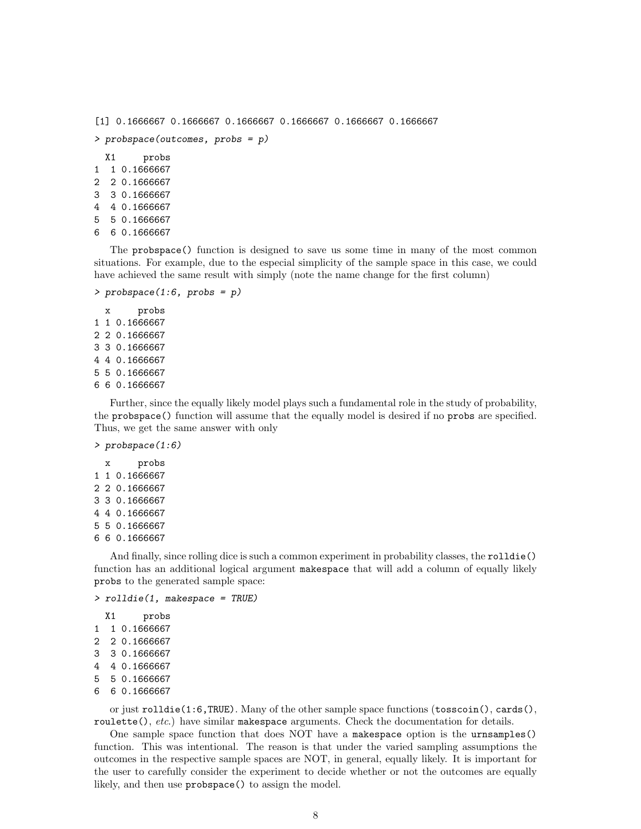```
[1] 0.1666667 0.1666667 0.1666667 0.1666667 0.1666667 0.1666667
> probspace(outcomes, probs = p)
 X1 probs
1 1 0.1666667
2 2 0.1666667
3 3 0.1666667
4 4 0.1666667
5 5 0.1666667
```

```
6 6 0.1666667
```
The probspace() function is designed to save us some time in many of the most common situations. For example, due to the especial simplicity of the sample space in this case, we could have achieved the same result with simply (note the name change for the first column)

```
> probspace(1:6, probs = p)
```
x probs 1 1 0.1666667 2 2 0.1666667 3 3 0.1666667 4 4 0.1666667 5 5 0.1666667 6 6 0.1666667

Further, since the equally likely model plays such a fundamental role in the study of probability, the probspace() function will assume that the equally model is desired if no probs are specified. Thus, we get the same answer with only

> probspace(1:6)

x probs 1 1 0.1666667 2 2 0.1666667 3 3 0.1666667 4 4 0.1666667 5 5 0.1666667 6 6 0.1666667

And finally, since rolling dice is such a common experiment in probability classes, the rolldie() function has an additional logical argument makespace that will add a column of equally likely probs to the generated sample space:

```
> rolldie(1, makespace = TRUE)
```

```
X1 probs
1 1 0.1666667
2 2 0.1666667
3 3 0.1666667
4 4 0.1666667
5 5 0.1666667
6 6 0.1666667
```
or just rolldie(1:6,TRUE). Many of the other sample space functions (tosscoin(), cards(), roulette(),  $etc.$ ) have similar makespace arguments. Check the documentation for details.

One sample space function that does NOT have a makespace option is the urnsamples() function. This was intentional. The reason is that under the varied sampling assumptions the outcomes in the respective sample spaces are NOT, in general, equally likely. It is important for the user to carefully consider the experiment to decide whether or not the outcomes are equally likely, and then use probspace() to assign the model.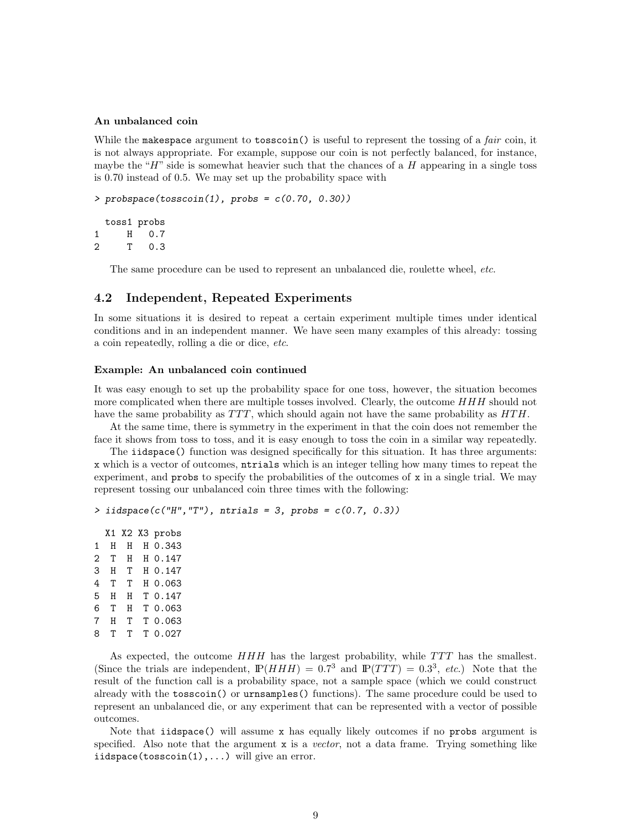#### An unbalanced coin

While the makespace argument to tosscoin() is useful to represent the tossing of a *fair* coin, it is not always appropriate. For example, suppose our coin is not perfectly balanced, for instance, maybe the "H" side is somewhat heavier such that the chances of a  $H$  appearing in a single toss is 0.70 instead of 0.5. We may set up the probability space with

```
> probspace(tosscoin(1), probs = c(0.70, 0.30))
```

```
toss1 probs
1 H 0.7
2 T 0.3
```
The same procedure can be used to represent an unbalanced die, roulette wheel, etc.

### <span id="page-9-0"></span>4.2 Independent, Repeated Experiments

In some situations it is desired to repeat a certain experiment multiple times under identical conditions and in an independent manner. We have seen many examples of this already: tossing a coin repeatedly, rolling a die or dice, etc.

#### Example: An unbalanced coin continued

It was easy enough to set up the probability space for one toss, however, the situation becomes more complicated when there are multiple tosses involved. Clearly, the outcome  $HHH$  should not have the same probability as  $TTT$ , which should again not have the same probability as  $HTH$ .

At the same time, there is symmetry in the experiment in that the coin does not remember the face it shows from toss to toss, and it is easy enough to toss the coin in a similar way repeatedly.

The **iidspace**() function was designed specifically for this situation. It has three arguments: x which is a vector of outcomes, ntrials which is an integer telling how many times to repeat the experiment, and  $\mu$  probs to specify the probabilities of the outcomes of x in a single trial. We may represent tossing our unbalanced coin three times with the following:

```
> iidspace(c("H","T"), ntrials = 3, probs = c(0.7, 0.3))
```
X1 X2 X3 probs 1 H H H 0.343 2 T H H 0.147 3 H T H 0.147 4 T T H 0.063 5 H H T 0.147 6 T H T 0.063 7 H T T 0.063 8 T T T 0.027

As expected, the outcome  $HHH$  has the largest probability, while  $TTT$  has the smallest. (Since the trials are independent,  $\mathbb{P}(HHH) = 0.7^3$  and  $\mathbb{P}(TTT) = 0.3^3$ , etc.) Note that the result of the function call is a probability space, not a sample space (which we could construct already with the tosscoin() or urnsamples() functions). The same procedure could be used to represent an unbalanced die, or any experiment that can be represented with a vector of possible outcomes.

Note that iidspace() will assume x has equally likely outcomes if no probs argument is specified. Also note that the argument  $x$  is a vector, not a data frame. Trying something like iidspace(tosscoin(1),...) will give an error.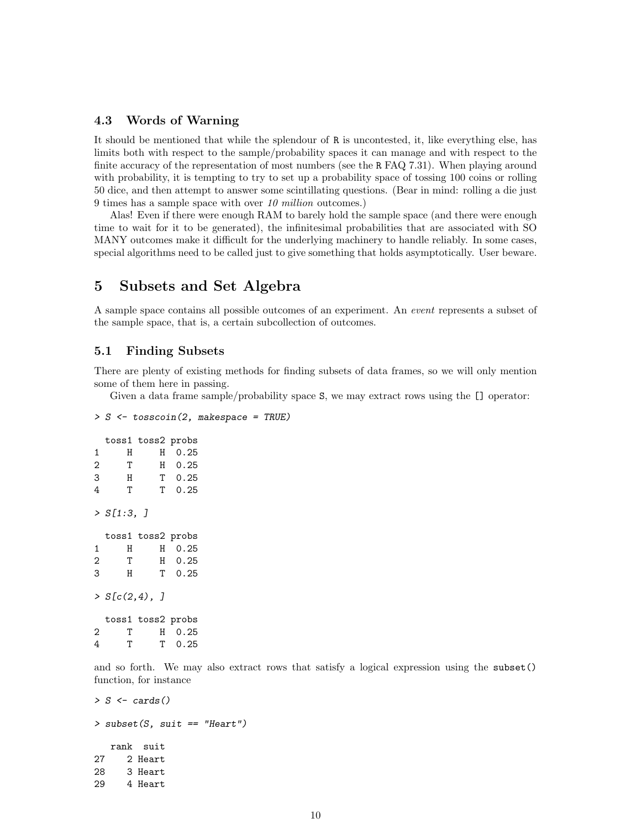# <span id="page-10-0"></span>4.3 Words of Warning

It should be mentioned that while the splendour of R is uncontested, it, like everything else, has limits both with respect to the sample/probability spaces it can manage and with respect to the finite accuracy of the representation of most numbers (see the R FAQ 7.31). When playing around with probability, it is tempting to try to set up a probability space of tossing 100 coins or rolling 50 dice, and then attempt to answer some scintillating questions. (Bear in mind: rolling a die just 9 times has a sample space with over 10 million outcomes.)

Alas! Even if there were enough RAM to barely hold the sample space (and there were enough time to wait for it to be generated), the infinitesimal probabilities that are associated with SO MANY outcomes make it difficult for the underlying machinery to handle reliably. In some cases, special algorithms need to be called just to give something that holds asymptotically. User beware.

# <span id="page-10-1"></span>5 Subsets and Set Algebra

A sample space contains all possible outcomes of an experiment. An event represents a subset of the sample space, that is, a certain subcollection of outcomes.

### <span id="page-10-2"></span>5.1 Finding Subsets

There are plenty of existing methods for finding subsets of data frames, so we will only mention some of them here in passing.

Given a data frame sample/probability space S, we may extract rows using the [] operator:

```
> S \le tosscoin(2, makespace = TRUE)
```

|                | toss1 toss2 probs |   |                |  |
|----------------|-------------------|---|----------------|--|
| 1              | Н                 | Н | 0.25           |  |
| $\overline{2}$ | $\mathbf{T}$      |   | 0.25<br>H      |  |
| 3              | H                 |   | $T \quad 0.25$ |  |
| 4              | T                 |   | T 0.25         |  |
|                | > S[1:3, 1]       |   |                |  |
|                | toss1 toss2 probs |   |                |  |
| 1              | Н                 |   | H 0.25         |  |
| $\overline{2}$ | T                 |   | $H$ 0.25       |  |
| 3              | Η                 |   | $T = 0.25$     |  |
|                | > S[c(2,4), ]     |   |                |  |
|                | toss1 toss2 probs |   |                |  |
| 2              | т                 | H | 0.25           |  |
| 4              | Т                 |   | $T = 0.25$     |  |

and so forth. We may also extract rows that satisfy a logical expression using the subset() function, for instance

```
> S \leftarrow cards()> subset(S, suit == "Heart")
   rank suit
27 2 Heart
28 3 Heart
29 4 Heart
```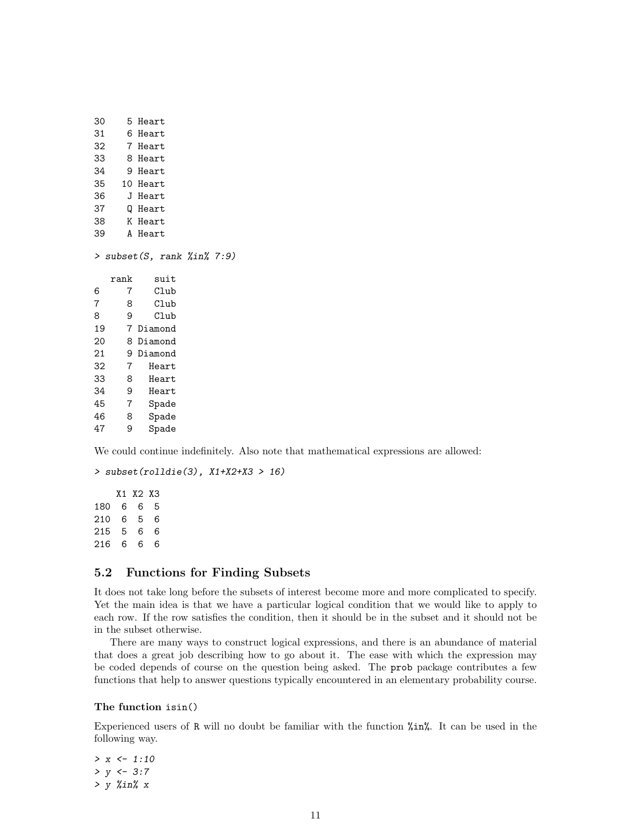| 30 | 5    | Heart     |       |                                       |  |
|----|------|-----------|-------|---------------------------------------|--|
| 31 | 6    | Heart     |       |                                       |  |
| 32 |      | 7 Heart   |       |                                       |  |
| 33 |      | 8 Heart   |       |                                       |  |
| 34 |      | 9 Heart   |       |                                       |  |
| 35 |      | 10 Heart  |       |                                       |  |
| 36 |      | J Heart   |       |                                       |  |
| 37 |      | Q Heart   |       |                                       |  |
| 38 |      | K Heart   |       |                                       |  |
| 39 |      | A Heart   |       |                                       |  |
| >  |      |           |       | $subset(S, rank \; % \exists n\$ 7:9) |  |
|    | rank |           | suit  |                                       |  |
| 6  | 7    |           | Club  |                                       |  |
| 7  | 8    |           | Club  |                                       |  |
| 8  | 9    |           | Club  |                                       |  |
| 19 |      | 7 Diamond |       |                                       |  |
| 20 | 8    | Diamond   |       |                                       |  |
| 21 | 9    | Diamond   |       |                                       |  |
| 32 | 7    |           | Heart |                                       |  |
| 33 | 8    |           | Heart |                                       |  |
| 34 | 9    |           | Heart |                                       |  |
| 45 | 7    |           | Spade |                                       |  |
| 46 | 8    |           | Spade |                                       |  |
| 47 | 9    |           | Spade |                                       |  |
|    |      |           |       |                                       |  |

We could continue indefinitely. Also note that mathematical expressions are allowed:

```
> subset(rolldie(3), X1+X2+X3 > 16)
```
X1 X2 X3 180 6 6 5 210 6 5 6 215 5 6 6 216 6 6 6

# <span id="page-11-0"></span>5.2 Functions for Finding Subsets

It does not take long before the subsets of interest become more and more complicated to specify. Yet the main idea is that we have a particular logical condition that we would like to apply to each row. If the row satisfies the condition, then it should be in the subset and it should not be in the subset otherwise.

There are many ways to construct logical expressions, and there is an abundance of material that does a great job describing how to go about it. The ease with which the expression may be coded depends of course on the question being asked. The prob package contributes a few functions that help to answer questions typically encountered in an elementary probability course.

#### The function isin()

Experienced users of R will no doubt be familiar with the function %in%. It can be used in the following way.

 $> x < -1:10$  $> y < -3:7$  $> y$  %in% x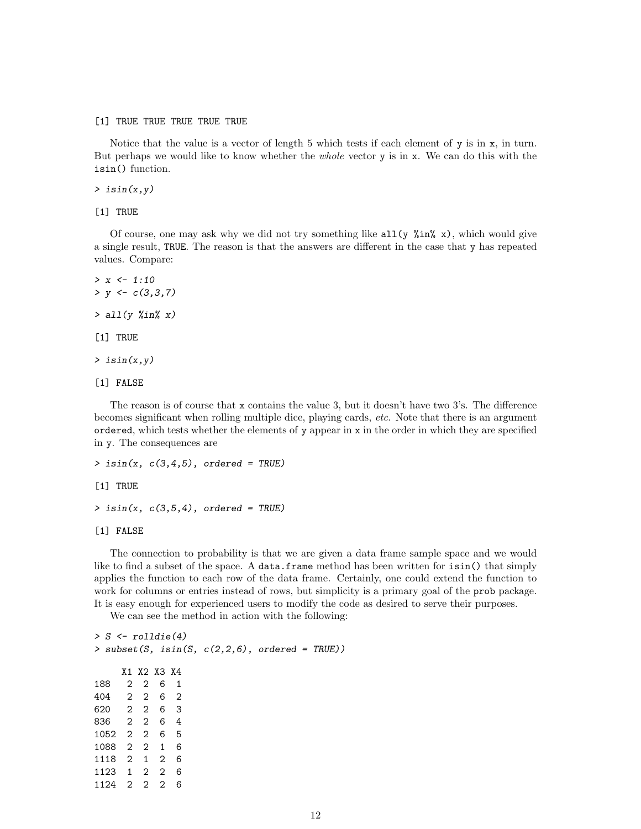[1] TRUE TRUE TRUE TRUE TRUE

Notice that the value is a vector of length 5 which tests if each element of y is in x, in turn. But perhaps we would like to know whether the *whole* vector y is in x. We can do this with the isin() function.

 $\frac{1}{2}$  isin $(x, y)$ 

[1] TRUE

Of course, one may ask why we did not try something like  $all(y \times n \times x)$ , which would give a single result, TRUE. The reason is that the answers are different in the case that y has repeated values. Compare:

```
> x < -1:10> y \leftarrow c(3,3,7)> all(y %in% x)
[1] TRUE
\rightarrow isin(x, y)
```
[1] FALSE

The reason is of course that x contains the value 3, but it doesn't have two 3's. The difference becomes significant when rolling multiple dice, playing cards, etc. Note that there is an argument ordered, which tests whether the elements of y appear in x in the order in which they are specified in y. The consequences are

 $>$  isin(x,  $c(3,4,5)$ , ordered = TRUE)

[1] TRUE

 $>$  isin(x,  $c(3,5,4)$ , ordered = TRUE)

[1] FALSE

The connection to probability is that we are given a data frame sample space and we would like to find a subset of the space. A data.frame method has been written for isin() that simply applies the function to each row of the data frame. Certainly, one could extend the function to work for columns or entries instead of rows, but simplicity is a primary goal of the **prob** package. It is easy enough for experienced users to modify the code as desired to serve their purposes.

We can see the method in action with the following:

| $> S \le$ rolldie(4) |  |             |   |  |                                                   |  |
|----------------------|--|-------------|---|--|---------------------------------------------------|--|
|                      |  |             |   |  | > subset(S, isin(S, $c(2,2,6)$ , ordered = TRUE)) |  |
|                      |  |             |   |  |                                                   |  |
|                      |  | X1 X2 X3 X4 |   |  |                                                   |  |
| 188 2 2 6 1          |  |             |   |  |                                                   |  |
| 404 2 2 6 2          |  |             |   |  |                                                   |  |
| 620 2 2 6 3          |  |             |   |  |                                                   |  |
| 836 2 2 6 4          |  |             |   |  |                                                   |  |
| 1052 2 2 6 5         |  |             |   |  |                                                   |  |
| 1088 2 2 1 6         |  |             |   |  |                                                   |  |
| 1118 2 1 2 6         |  |             |   |  |                                                   |  |
| 1123 1 2 2 6         |  |             |   |  |                                                   |  |
| 1124 2 2 2           |  |             | 6 |  |                                                   |  |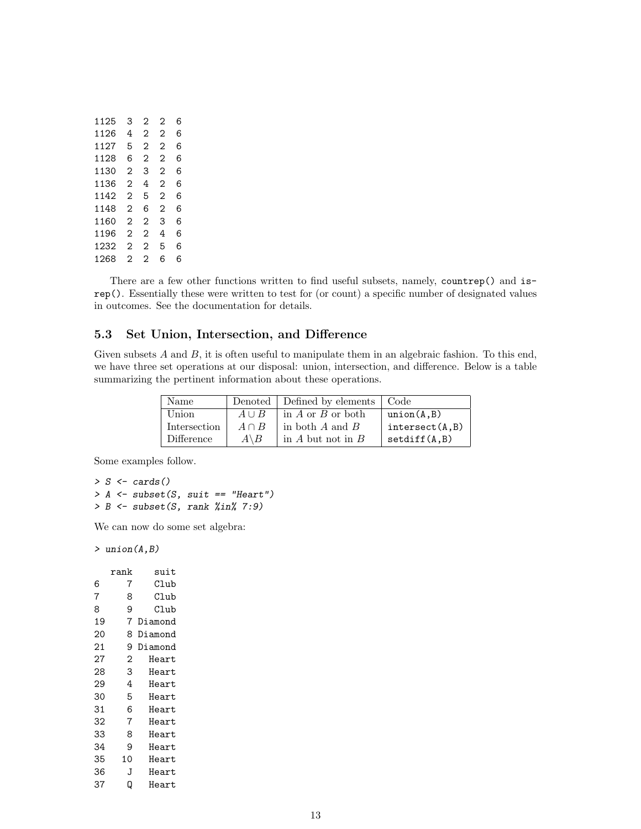| 1125 | 3 | 2              | 2 | 6 |
|------|---|----------------|---|---|
| 1126 | 4 | $\overline{c}$ | 2 | 6 |
| 1127 | 5 | 2              | 2 | 6 |
| 1128 | 6 | 2              | 2 | 6 |
| 1130 | 2 | 3              | 2 | 6 |
| 1136 | 2 | 4              | 2 | 6 |
| 1142 | 2 | 5              | 2 | 6 |
| 1148 | 2 | 6              | 2 | 6 |
| 1160 | 2 | 2              | 3 | 6 |
| 1196 | 2 | 2              | 4 | 6 |
| 1232 | 2 | 2              | 5 | 6 |
| 1268 | 2 | $\overline{2}$ | 6 | 6 |

There are a few other functions written to find useful subsets, namely, countrep() and isrep(). Essentially these were written to test for (or count) a specific number of designated values in outcomes. See the documentation for details.

# <span id="page-13-0"></span>5.3 Set Union, Intersection, and Difference

Given subsets  $A$  and  $B$ , it is often useful to manipulate them in an algebraic fashion. To this end, we have three set operations at our disposal: union, intersection, and difference. Below is a table summarizing the pertinent information about these operations.

| Name         |                  | Denoted   Defined by elements   Code |                 |
|--------------|------------------|--------------------------------------|-----------------|
| Union        | $A \cup B$       | in A or B or both                    | union(A, B)     |
| Intersection | $A \cap B$       | in both $A$ and $B$                  | intersect(A, B) |
| Difference   | $A \backslash B$ | in $A$ but not in $B$                | setdiff(A, B)   |

Some examples follow.

```
> S \leftarrow cards()> A \leq subset(S, suit == "Heart")> B \leftarrow subset(S, rank %in% 7:9)
```
We can now do some set algebra:

> union(A,B)

|    | rank | suit    |
|----|------|---------|
| 6  | 7    | Club    |
| 7  | 8    | Club    |
| 8  | 9    | Club    |
| 19 | 7    | Diamond |
| 20 | 8    | Diamond |
| 21 | 9    | Diamond |
| 27 | 2    | Heart   |
| 28 | 3    | Heart   |
| 29 | 4    | Heart   |
| 30 | 5    | Heart   |
| 31 | 6    | Heart   |
| 32 | 7    | Heart   |
| 33 | 8    | Heart   |
| 34 | 9    | Heart   |
| 35 | 10   | Heart   |
| 36 | J    | Heart   |
| 37 | ۵    | Heart   |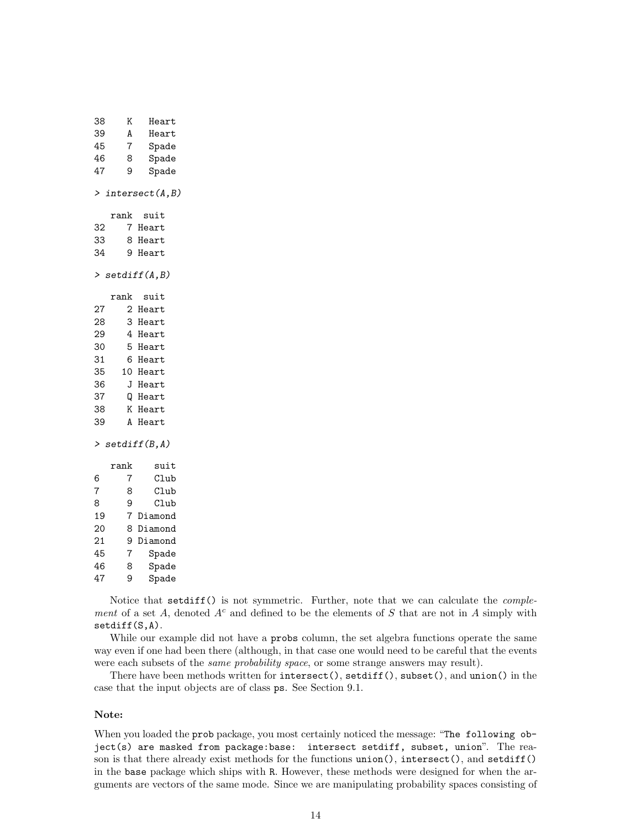| 38             | Κ               | Heart                |
|----------------|-----------------|----------------------|
| 39             | A               | Heart                |
| 45             | $\overline{7}$  | Spade                |
| 46             | 8               | Spade                |
| 47             | 9               | Spade                |
|                |                 |                      |
|                |                 | > intersect $(A, B)$ |
|                | $\texttt{rank}$ | suit                 |
| 32             |                 | 7 Heart              |
| 33             |                 | 8 Heart              |
| 34             |                 | 9 Heart              |
|                |                 | > $setdiff(A, B)$    |
|                |                 |                      |
|                | rank            | suit                 |
| 27             |                 | 2 Heart<br>3 Heart   |
| 28             |                 |                      |
| 29             |                 | 4 Heart              |
| 30             |                 | 5 Heart              |
| 31             |                 | 6 Heart              |
| 35             |                 | 10 Heart             |
| 36             |                 | J Heart              |
| 37             |                 | Q Heart              |
| 38             |                 | K Heart              |
| 39             |                 | A Heart              |
|                |                 | > setdiff(B, A)      |
|                | rank            | suit                 |
| 6              | 7               | Club                 |
| $\overline{7}$ | 8               | Club                 |
| 8              | 9               | Club                 |
| 19             |                 | 7 Diamond            |
| 20             | 8               | Diamond              |
| 21             | 9               | Diamond              |
| 45             | $\overline{7}$  | Spade                |
| 46             | 8               | Spade                |
|                |                 |                      |

Notice that setdiff() is not symmetric. Further, note that we can calculate the *comple*ment of a set A, denoted  $A<sup>c</sup>$  and defined to be the elements of S that are not in A simply with setdiff(S,A).

While our example did not have a probs column, the set algebra functions operate the same way even if one had been there (although, in that case one would need to be careful that the events were each subsets of the *same probability space*, or some strange answers may result).

There have been methods written for  $intersect()$ ,  $setdiff()$ ,  $subset()$ , and  $union()$  in the case that the input objects are of class ps. See Section 9.1.

#### Note:

47 9 Spade

When you loaded the prob package, you most certainly noticed the message: "The following object(s) are masked from package:base: intersect setdiff, subset, union". The reason is that there already exist methods for the functions union(), intersect(), and setdiff() in the base package which ships with R. However, these methods were designed for when the arguments are vectors of the same mode. Since we are manipulating probability spaces consisting of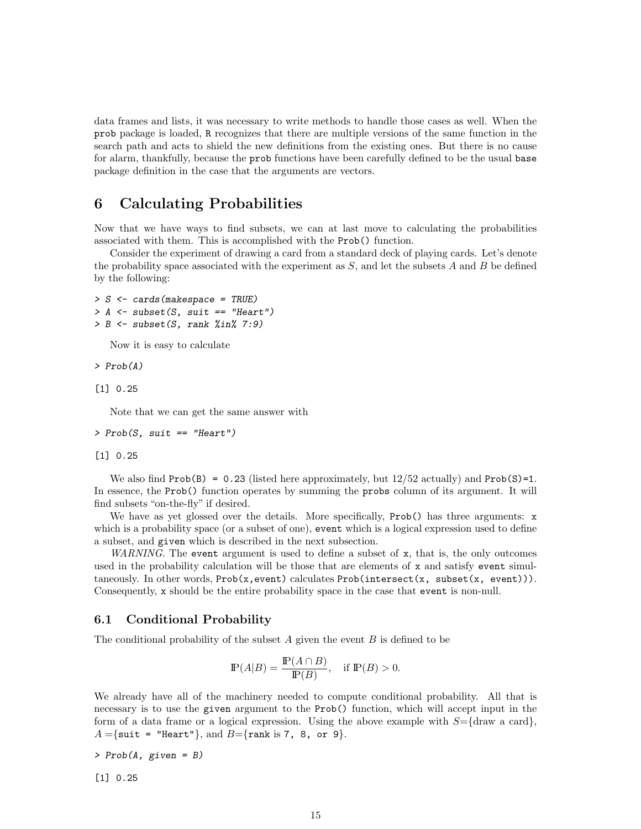data frames and lists, it was necessary to write methods to handle those cases as well. When the prob package is loaded, R recognizes that there are multiple versions of the same function in the search path and acts to shield the new definitions from the existing ones. But there is no cause for alarm, thankfully, because the prob functions have been carefully defined to be the usual base package definition in the case that the arguments are vectors.

# <span id="page-15-0"></span>6 Calculating Probabilities

Now that we have ways to find subsets, we can at last move to calculating the probabilities associated with them. This is accomplished with the Prob() function.

Consider the experiment of drawing a card from a standard deck of playing cards. Let's denote the probability space associated with the experiment as  $S$ , and let the subsets  $A$  and  $B$  be defined by the following:

```
> S <- cards(makespace = TRUE)
> A \leq subset(S, suit == "Heart")> B \leq subset(S, rank %in% 7:9)
```
Now it is easy to calculate

> Prob(A)

[1] 0.25

Note that we can get the same answer with

```
> Prob(S, suit == "Heart")
```
[1] 0.25

We also find Prob(B) =  $0.23$  (listed here approximately, but  $12/52$  actually) and Prob(S)=1. In essence, the Prob() function operates by summing the probs column of its argument. It will find subsets "on-the-fly" if desired.

We have as yet glossed over the details. More specifically,  $Proof()$  has three arguments: x which is a probability space (or a subset of one), event which is a logical expression used to define a subset, and given which is described in the next subsection.

WARNING. The event argument is used to define a subset of  $x$ , that is, the only outcomes used in the probability calculation will be those that are elements of x and satisfy event simultaneously. In other words, Prob(x,event) calculates Prob(intersect(x, subset(x, event))). Consequently, x should be the entire probability space in the case that event is non-null.

### <span id="page-15-1"></span>6.1 Conditional Probability

The conditional probability of the subset  $A$  given the event  $B$  is defined to be

$$
\mathbb{P}(A|B) = \frac{\mathbb{P}(A \cap B)}{\mathbb{P}(B)}, \quad \text{if } \mathbb{P}(B) > 0.
$$

We already have all of the machinery needed to compute conditional probability. All that is necessary is to use the given argument to the Prob() function, which will accept input in the form of a data frame or a logical expression. Using the above example with  $S = \{draw \text{ a card}\}\,$  $A = \{$ suit = "Heart"}, and  $B = \{$ rank is 7, 8, or 9 $\}.$ 

> Prob(A, given = B)

[1] 0.25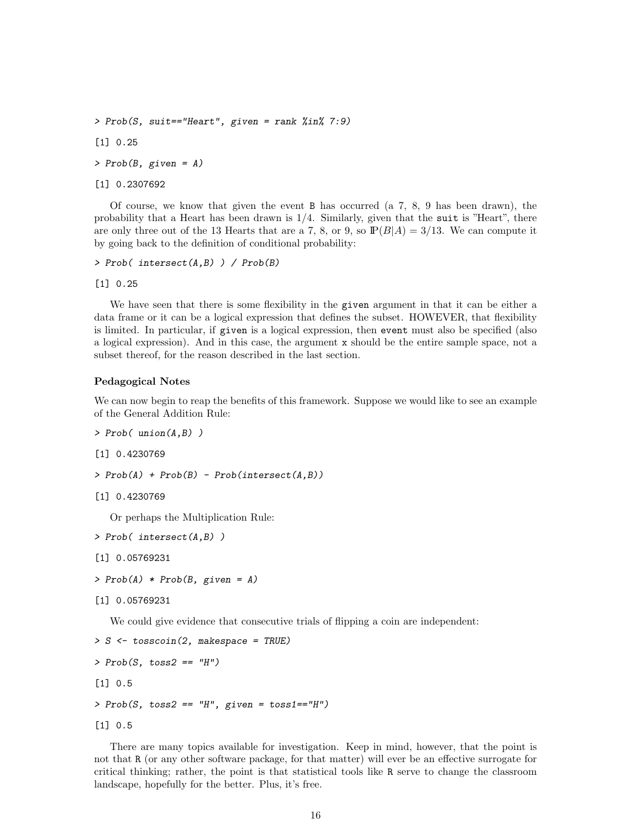```
> Prob(S, suit=="Heart", given = rank %in% 7:9)
[1] 0.25
> Prob(B, given = A)[1] 0.2307692
```
Of course, we know that given the event B has occurred (a 7, 8, 9 has been drawn), the probability that a Heart has been drawn is 1/4. Similarly, given that the suit is "Heart", there are only three out of the 13 Hearts that are a 7, 8, or 9, so  $\mathbb{P}(B|A) = 3/13$ . We can compute it by going back to the definition of conditional probability:

```
> Prob( intersect(A,B) ) / Prob(B)
```
[1] 0.25

We have seen that there is some flexibility in the given argument in that it can be either a data frame or it can be a logical expression that defines the subset. HOWEVER, that flexibility is limited. In particular, if given is a logical expression, then event must also be specified (also a logical expression). And in this case, the argument x should be the entire sample space, not a subset thereof, for the reason described in the last section.

#### Pedagogical Notes

We can now begin to reap the benefits of this framework. Suppose we would like to see an example of the General Addition Rule:

```
> Prob( union(A,B) )
```

```
[1] 0.4230769
```

```
> Prob(A) + Prob(B) - Prob(interset(A, B))
```

```
[1] 0.4230769
```
Or perhaps the Multiplication Rule:

```
> Prob( intersect(A,B) )
```

```
[1] 0.05769231
```

```
> Prob(A) * Prob(B, given = A)
```

```
[1] 0.05769231
```
We could give evidence that consecutive trials of flipping a coin are independent:

```
> S <- tosscoin(2, makespace = TRUE)
> Prob(S, toss2 == "H")[1] 0.5
> Proof(S, toss2 == "H", given = toss1 == "H")[1] 0.5
```
There are many topics available for investigation. Keep in mind, however, that the point is not that R (or any other software package, for that matter) will ever be an effective surrogate for critical thinking; rather, the point is that statistical tools like R serve to change the classroom landscape, hopefully for the better. Plus, it's free.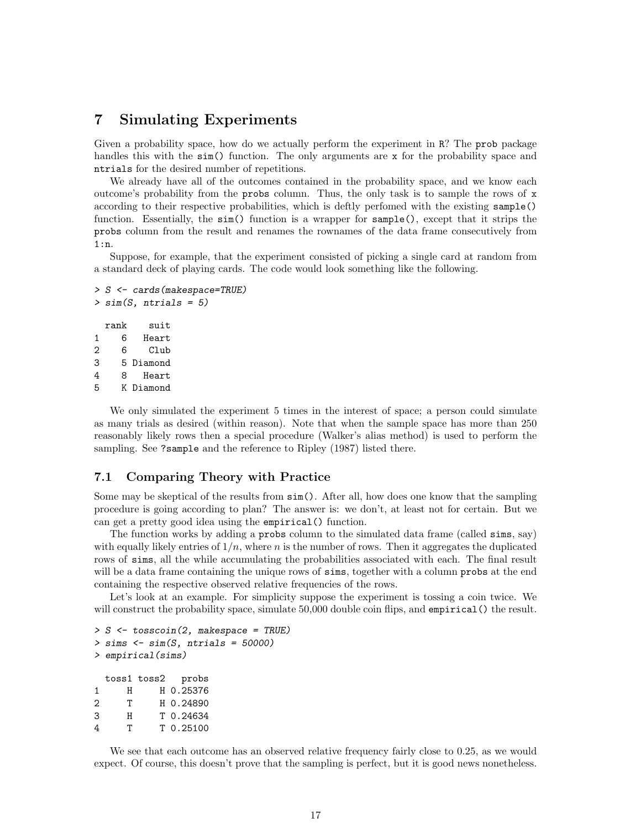# <span id="page-17-0"></span>7 Simulating Experiments

Given a probability space, how do we actually perform the experiment in R? The prob package handles this with the  $\sin( )$  function. The only arguments are x for the probability space and ntrials for the desired number of repetitions.

We already have all of the outcomes contained in the probability space, and we know each outcome's probability from the probs column. Thus, the only task is to sample the rows of x according to their respective probabilities, which is deftly perfomed with the existing sample() function. Essentially, the  $sin()$  function is a wrapper for  $sample()$ , except that it strips the probs column from the result and renames the rownames of the data frame consecutively from 1:n.

Suppose, for example, that the experiment consisted of picking a single card at random from a standard deck of playing cards. The code would look something like the following.

```
> S <- cards(makespace=TRUE)
> sim(S, ntrials = 5)rank suit
1 6 Heart
2 6 Club
3 5 Diamond
4 8 Heart
5 K Diamond
```
We only simulated the experiment 5 times in the interest of space; a person could simulate as many trials as desired (within reason). Note that when the sample space has more than 250 reasonably likely rows then a special procedure (Walker's alias method) is used to perform the sampling. See ?sample and the reference to Ripley (1987) listed there.

## <span id="page-17-1"></span>7.1 Comparing Theory with Practice

Some may be skeptical of the results from  $\sin(.)$ . After all, how does one know that the sampling procedure is going according to plan? The answer is: we don't, at least not for certain. But we can get a pretty good idea using the empirical() function.

The function works by adding a probs column to the simulated data frame (called sims, say) with equally likely entries of  $1/n$ , where n is the number of rows. Then it aggregates the duplicated rows of sims, all the while accumulating the probabilities associated with each. The final result will be a data frame containing the unique rows of sims, together with a column probs at the end containing the respective observed relative frequencies of the rows.

Let's look at an example. For simplicity suppose the experiment is tossing a coin twice. We will construct the probability space, simulate 50,000 double coin flips, and empirical () the result.

```
> S \le tosscoin(2, makespace = TRUE)
> sims \le sim(S, ntrials = 50000)
> empirical(sims)
 toss1 toss2 probs
1 H H 0.25376
2 T H 0.24890
3 H T 0.24634
4 T T 0.25100
```
We see that each outcome has an observed relative frequency fairly close to 0.25, as we would expect. Of course, this doesn't prove that the sampling is perfect, but it is good news nonetheless.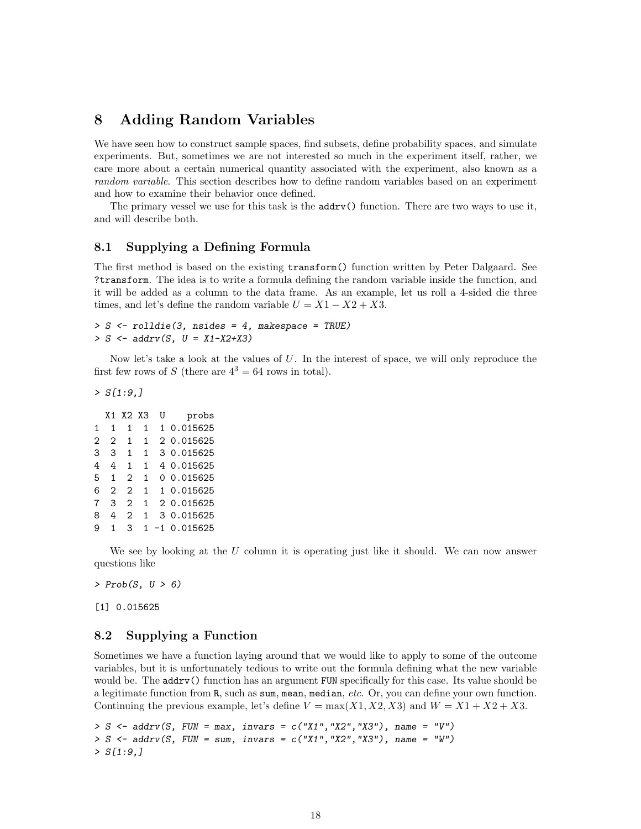# <span id="page-18-0"></span>8 Adding Random Variables

We have seen how to construct sample spaces, find subsets, define probability spaces, and simulate experiments. But, sometimes we are not interested so much in the experiment itself, rather, we care more about a certain numerical quantity associated with the experiment, also known as a random variable. This section describes how to define random variables based on an experiment and how to examine their behavior once defined.

The primary vessel we use for this task is the addrv() function. There are two ways to use it, and will describe both.

### <span id="page-18-1"></span>8.1 Supplying a Defining Formula

The first method is based on the existing transform() function written by Peter Dalgaard. See ?transform. The idea is to write a formula defining the random variable inside the function, and it will be added as a column to the data frame. As an example, let us roll a 4-sided die three times, and let's define the random variable  $U = X1 - X2 + X3$ .

```
> S \le rolldie(3, nsides = 4, makespace = TRUE)
> S \leq - \text{addrv}(S, U = X1-X2+X3)
```
Now let's take a look at the values of  $U$ . In the interest of space, we will only reproduce the first few rows of S (there are  $4^3 = 64$  rows in total).

 $> S[1:9]$ 

|                |                | X1 X2 X3       |              | U<br>probs       |
|----------------|----------------|----------------|--------------|------------------|
| $\mathbf{1}$   | $\mathbf{1}$   | $\mathbf{1}$   | $\mathbf 1$  | 1 0.015625       |
| $\overline{2}$ | $2^{\circ}$    | 1              | $\mathbf{1}$ | 2 0.015625       |
| 3              | 3              | $\mathbf{1}$   | $\mathbf{1}$ | 3 0.015625       |
| 4              | 4              | 1              | 1            | 4 0.015625       |
| 5              | $\mathbf{1}$   | 2              | $\mathbf{1}$ | 00.015625        |
| 6              | $\overline{2}$ | $\overline{2}$ | $\mathbf{1}$ | 1 0.015625       |
| 7              | 3              | 2              | $\mathbf{1}$ | 2 0.015625       |
| 8              | 4              | 2              | $\mathbf{1}$ | 3 0.015625       |
| 9              |                | 3              |              | $1 - 1 0.015625$ |

We see by looking at the  $U$  column it is operating just like it should. We can now answer questions like

 $> Prob(S, U > 6)$ 

[1] 0.015625

### <span id="page-18-2"></span>8.2 Supplying a Function

Sometimes we have a function laying around that we would like to apply to some of the outcome variables, but it is unfortunately tedious to write out the formula defining what the new variable would be. The **addry**() function has an argument FUN specifically for this case. Its value should be a legitimate function from R, such as sum, mean, median, etc. Or, you can define your own function. Continuing the previous example, let's define  $V = \max(X1, X2, X3)$  and  $W = X1 + X2 + X3$ .

```
> S \leq - \text{addrv}(S, \text{FW}) = \text{max}, \text{ invars} = c('X1'', "X2'', "X3''), \text{ name} = "V")> S \leq addrv(S, FUN = sum, invars = c("X1","X2","X3"), name = "W")
> S[1:9,]
```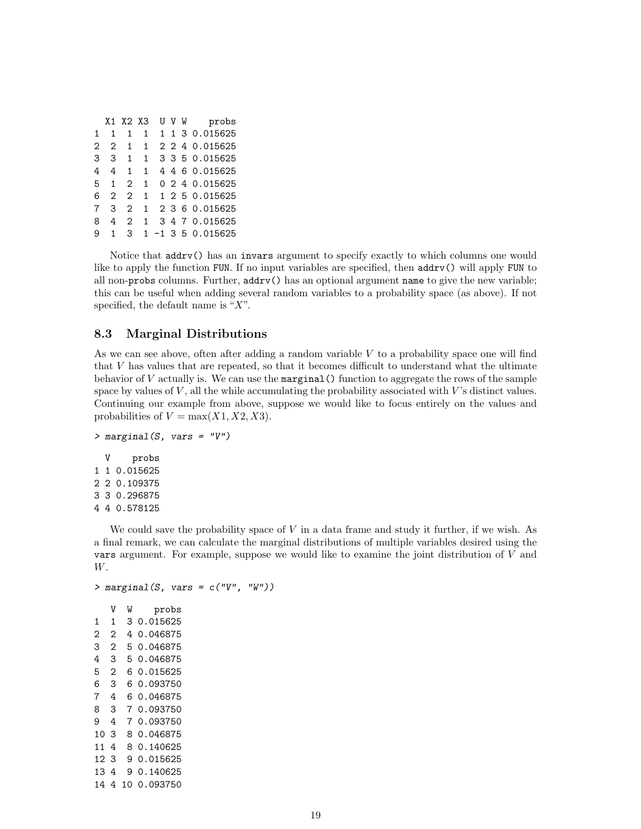|              |              |               | X1 X2 X3     |  | U V W probs          |
|--------------|--------------|---------------|--------------|--|----------------------|
| $\mathbf{1}$ | $\mathbf{1}$ | 1             | $\mathbf{1}$ |  | 1 1 3 0.015625       |
| 2            | 2            | $\mathbf{1}$  | $\mathbf{1}$ |  | 2 2 4 0.015625       |
| 3            | 3            |               | $1 \quad 1$  |  | 3 3 5 0.015625       |
| 4            | 4            | $\mathbf{1}$  | 1            |  | 4 4 6 0.015625       |
| 5            | 1            | $2^{\circ}$   | $\mathbf{1}$ |  | 0 2 4 0.015625       |
| 6            | 2            | $2^{\circ}$   | $\mathbf{1}$ |  | 1 2 5 0.015625       |
| 7            | 3            | $\mathcal{L}$ |              |  | 1 2 3 6 0.015625     |
| 8            | 4            | $2^{\circ}$   | 1            |  | 3 4 7 0.015625       |
| 9            | 1            | $\mathbf{3}$  |              |  | $1 - 1$ 3 5 0.015625 |
|              |              |               |              |  |                      |

Notice that addrv() has an invars argument to specify exactly to which columns one would like to apply the function FUN. If no input variables are specified, then addrv() will apply FUN to all non-probs columns. Further, addrv() has an optional argument name to give the new variable; this can be useful when adding several random variables to a probability space (as above). If not specified, the default name is " $X$ ".

## <span id="page-19-0"></span>8.3 Marginal Distributions

As we can see above, often after adding a random variable  $V$  to a probability space one will find that  $V$  has values that are repeated, so that it becomes difficult to understand what the ultimate behavior of  $V$  actually is. We can use the marginal () function to aggregate the rows of the sample space by values of  $V$ , all the while accumulating the probability associated with  $V$ 's distinct values. Continuing our example from above, suppose we would like to focus entirely on the values and probabilities of  $V = \max(X1, X2, X3)$ .

```
> marginal(S, vars = "V")
  V probs
1 1 0.015625
2 2 0.109375
3 3 0.296875
4 4 0.578125
```
We could save the probability space of  $V$  in a data frame and study it further, if we wish. As a final remark, we can calculate the marginal distributions of multiple variables desired using the vars argument. For example, suppose we would like to examine the joint distribution of  $V$  and W.

```
> marginal(S, vars = c("V", "W"))
   V W probs
1 1 3 0.015625
2 2 4 0.046875
3 2 5 0.046875
4 3 5 0.046875
5 2 6 0.015625
6 3 6 0.093750
7 4 6 0.046875
8 3 7 0.093750
9 4 7 0.093750
10 3 8 0.046875
11 4 8 0.140625
12 3 9 0.015625
13 4 9 0.140625
14 4 10 0.093750
```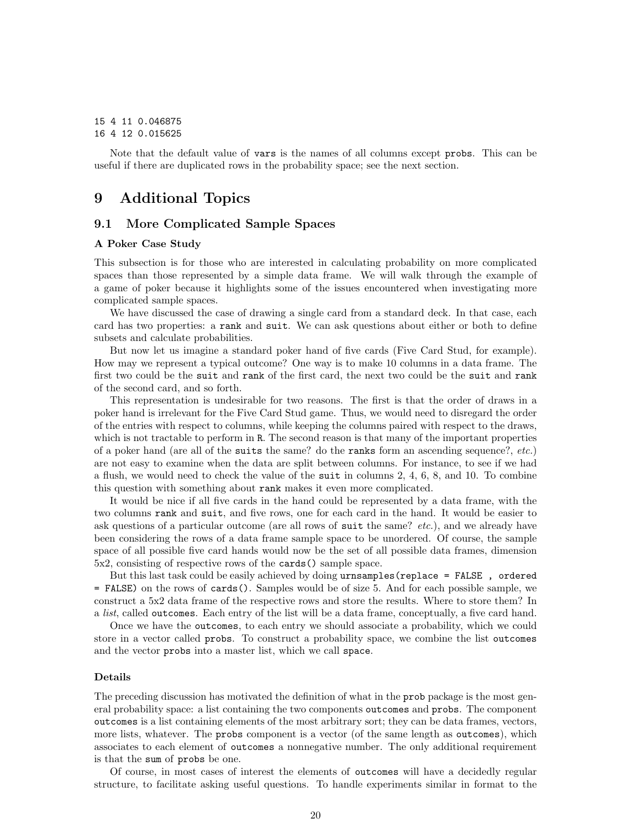# 15 4 11 0.046875

## 16 4 12 0.015625

Note that the default value of vars is the names of all columns except probs. This can be useful if there are duplicated rows in the probability space; see the next section.

# <span id="page-20-0"></span>9 Additional Topics

### <span id="page-20-1"></span>9.1 More Complicated Sample Spaces

#### A Poker Case Study

This subsection is for those who are interested in calculating probability on more complicated spaces than those represented by a simple data frame. We will walk through the example of a game of poker because it highlights some of the issues encountered when investigating more complicated sample spaces.

We have discussed the case of drawing a single card from a standard deck. In that case, each card has two properties: a rank and suit. We can ask questions about either or both to define subsets and calculate probabilities.

But now let us imagine a standard poker hand of five cards (Five Card Stud, for example). How may we represent a typical outcome? One way is to make 10 columns in a data frame. The first two could be the suit and rank of the first card, the next two could be the suit and rank of the second card, and so forth.

This representation is undesirable for two reasons. The first is that the order of draws in a poker hand is irrelevant for the Five Card Stud game. Thus, we would need to disregard the order of the entries with respect to columns, while keeping the columns paired with respect to the draws, which is not tractable to perform in R. The second reason is that many of the important properties of a poker hand (are all of the suits the same? do the ranks form an ascending sequence?,  $etc.$ ) are not easy to examine when the data are split between columns. For instance, to see if we had a flush, we would need to check the value of the suit in columns 2, 4, 6, 8, and 10. To combine this question with something about rank makes it even more complicated.

It would be nice if all five cards in the hand could be represented by a data frame, with the two columns rank and suit, and five rows, one for each card in the hand. It would be easier to ask questions of a particular outcome (are all rows of suit the same? etc.), and we already have been considering the rows of a data frame sample space to be unordered. Of course, the sample space of all possible five card hands would now be the set of all possible data frames, dimension 5x2, consisting of respective rows of the cards() sample space.

But this last task could be easily achieved by doing urnsamples(replace = FALSE , ordered = FALSE) on the rows of cards(). Samples would be of size 5. And for each possible sample, we construct a 5x2 data frame of the respective rows and store the results. Where to store them? In a *list*, called outcomes. Each entry of the list will be a data frame, conceptually, a five card hand.

Once we have the outcomes, to each entry we should associate a probability, which we could store in a vector called probs. To construct a probability space, we combine the list outcomes and the vector probs into a master list, which we call space.

#### Details

The preceding discussion has motivated the definition of what in the prob package is the most general probability space: a list containing the two components outcomes and probs. The component outcomes is a list containing elements of the most arbitrary sort; they can be data frames, vectors, more lists, whatever. The probs component is a vector (of the same length as outcomes), which associates to each element of outcomes a nonnegative number. The only additional requirement is that the sum of probs be one.

Of course, in most cases of interest the elements of outcomes will have a decidedly regular structure, to facilitate asking useful questions. To handle experiments similar in format to the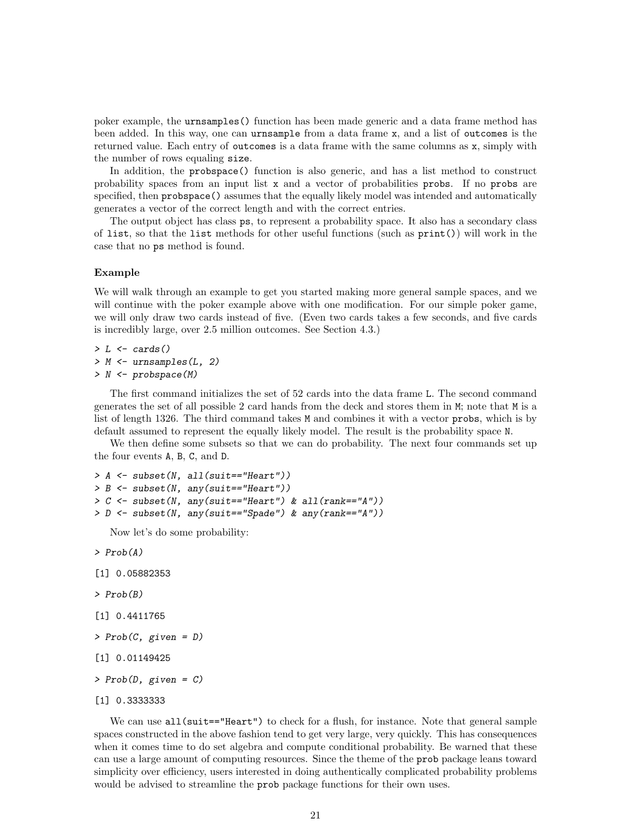poker example, the urnsamples() function has been made generic and a data frame method has been added. In this way, one can urnsample from a data frame x, and a list of outcomes is the returned value. Each entry of outcomes is a data frame with the same columns as x, simply with the number of rows equaling size.

In addition, the probspace() function is also generic, and has a list method to construct probability spaces from an input list x and a vector of probabilities probs. If no probs are specified, then probspace() assumes that the equally likely model was intended and automatically generates a vector of the correct length and with the correct entries.

The output object has class ps, to represent a probability space. It also has a secondary class of list, so that the list methods for other useful functions (such as print()) will work in the case that no ps method is found.

#### Example

We will walk through an example to get you started making more general sample spaces, and we will continue with the poker example above with one modification. For our simple poker game, we will only draw two cards instead of five. (Even two cards takes a few seconds, and five cards is incredibly large, over 2.5 million outcomes. See Section 4.3.)

 $> L \leftarrow \text{cards}()$  $> M \leftarrow$  urnsamples( $L$ , 2) > N <- probspace(M)

The first command initializes the set of 52 cards into the data frame L. The second command generates the set of all possible 2 card hands from the deck and stores them in M; note that M is a list of length 1326. The third command takes M and combines it with a vector probs, which is by default assumed to represent the equally likely model. The result is the probability space N.

We then define some subsets so that we can do probability. The next four commands set up the four events A, B, C, and D.

```
> A <- subset(N, all(suit=="Heart"))
> B <- subset(N, any(suit=="Heart"))
> C <- subset(N, any(suit=="Heart") & all(rank=="A"))
> D <- subset(N, any(suit=="Spade") & any(rank=="A"))
```
Now let's do some probability:

> Prob(A)

```
[1] 0.05882353
```

```
> Prob(B)
```

```
[1] 0.4411765
```

```
> Prob(C, given = D)
```

```
[1] 0.01149425
```

```
> Prob(D, given = C)
```

```
[1] 0.3333333
```
We can use  $all(suit=="Heart")$  to check for a flush, for instance. Note that general sample spaces constructed in the above fashion tend to get very large, very quickly. This has consequences when it comes time to do set algebra and compute conditional probability. Be warned that these can use a large amount of computing resources. Since the theme of the prob package leans toward simplicity over efficiency, users interested in doing authentically complicated probability problems would be advised to streamline the prob package functions for their own uses.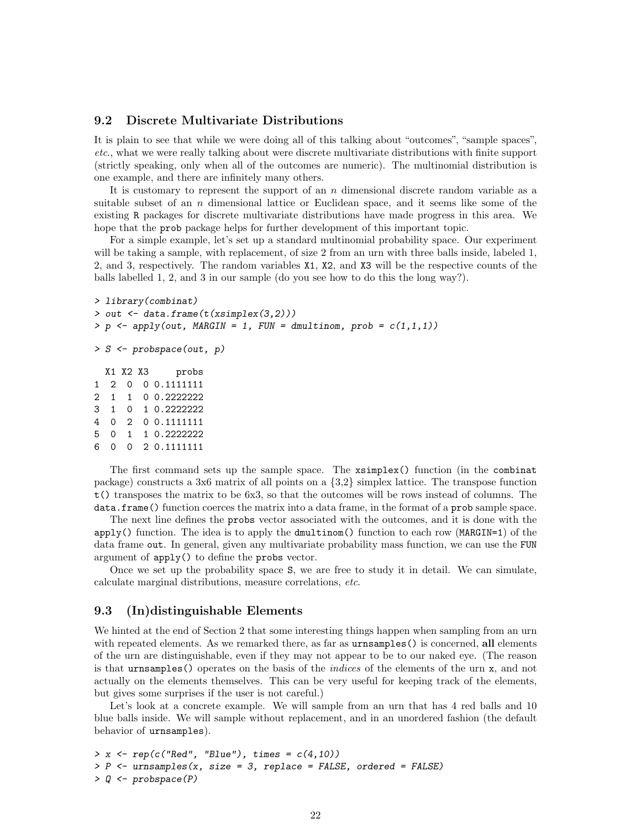# <span id="page-22-0"></span>9.2 Discrete Multivariate Distributions

It is plain to see that while we were doing all of this talking about "outcomes", "sample spaces", etc., what we were really talking about were discrete multivariate distributions with finite support (strictly speaking, only when all of the outcomes are numeric). The multinomial distribution is one example, and there are infinitely many others.

It is customary to represent the support of an  $n$  dimensional discrete random variable as a suitable subset of an n dimensional lattice or Euclidean space, and it seems like some of the existing R packages for discrete multivariate distributions have made progress in this area. We hope that the prob package helps for further development of this important topic.

For a simple example, let's set up a standard multinomial probability space. Our experiment will be taking a sample, with replacement, of size 2 from an urn with three balls inside, labeled 1, 2, and 3, respectively. The random variables X1, X2, and X3 will be the respective counts of the balls labelled 1, 2, and 3 in our sample (do you see how to do this the long way?).

```
> library(combinat)
> out \leq data.frame(t(xsimplex(3,2)))
> p \leq -\text{apply}(out, \text{ MARGIN} = 1, \text{ FUN} = \text{dmultinom}, \text{prob} = c(1,1,1))> S <- probspace(out, p)
  X1 X2 X3 probs
1 2 0 0 0.1111111
2 1 1 0 0.2222222
3 1 0 1 0.2222222
4 0 2 0 0.1111111
5 0 1 1 0.2222222
6 0 0 2 0.1111111
   The first command sets up the sample space. The xsimplex() function (in the combinat
```
package) constructs a 3x6 matrix of all points on a {3,2} simplex lattice. The transpose function t() transposes the matrix to be 6x3, so that the outcomes will be rows instead of columns. The data.frame() function coerces the matrix into a data frame, in the format of a prob sample space.

The next line defines the probs vector associated with the outcomes, and it is done with the  $apply()$  function. The idea is to apply the dmultinom() function to each row (MARGIN=1) of the data frame out. In general, given any multivariate probability mass function, we can use the FUN argument of apply() to define the probs vector.

Once we set up the probability space S, we are free to study it in detail. We can simulate, calculate marginal distributions, measure correlations, etc.

# <span id="page-22-1"></span>9.3 (In)distinguishable Elements

We hinted at the end of Section 2 that some interesting things happen when sampling from an urn with repeated elements. As we remarked there, as far as urnsamples () is concerned, all elements of the urn are distinguishable, even if they may not appear to be to our naked eye. (The reason is that urnsamples() operates on the basis of the *indices* of the elements of the urn x, and not actually on the elements themselves. This can be very useful for keeping track of the elements, but gives some surprises if the user is not careful.)

Let's look at a concrete example. We will sample from an urn that has 4 red balls and 10 blue balls inside. We will sample without replacement, and in an unordered fashion (the default behavior of urnsamples).

```
> x \leftarrow rep(c("Red", "Blue"), times = c(4,10))> P <- urnsamples(x, size = 3, replace = FALSE, ordered = FALSE)
> 0 <- probspace(P)
```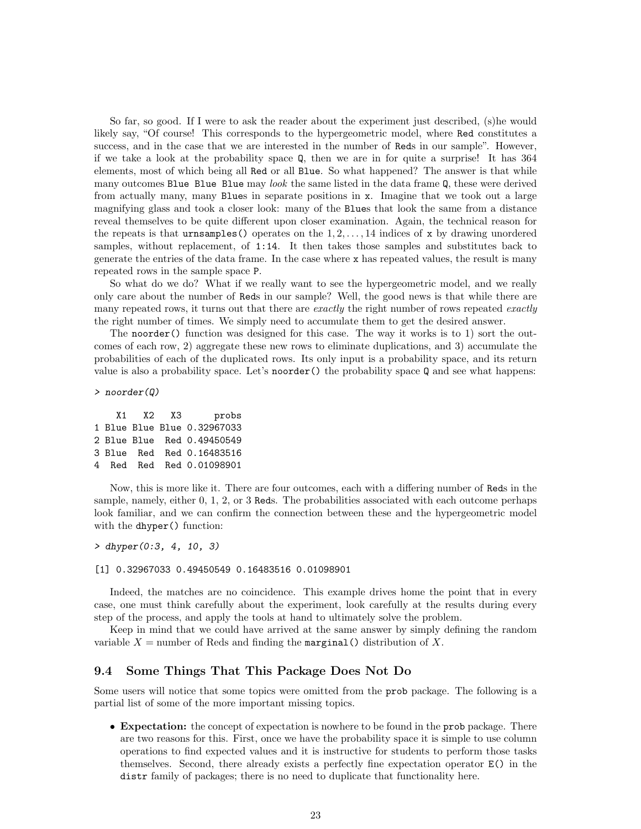So far, so good. If I were to ask the reader about the experiment just described, (s)he would likely say, "Of course! This corresponds to the hypergeometric model, where Red constitutes a success, and in the case that we are interested in the number of Reds in our sample". However, if we take a look at the probability space Q, then we are in for quite a surprise! It has 364 elements, most of which being all Red or all Blue. So what happened? The answer is that while many outcomes Blue Blue Blue may look the same listed in the data frame Q, these were derived from actually many, many Blues in separate positions in x. Imagine that we took out a large magnifying glass and took a closer look: many of the Blues that look the same from a distance reveal themselves to be quite different upon closer examination. Again, the technical reason for the repeats is that urnsamples() operates on the  $1, 2, \ldots, 14$  indices of x by drawing unordered samples, without replacement, of 1:14. It then takes those samples and substitutes back to generate the entries of the data frame. In the case where x has repeated values, the result is many repeated rows in the sample space P.

So what do we do? What if we really want to see the hypergeometric model, and we really only care about the number of Reds in our sample? Well, the good news is that while there are many repeated rows, it turns out that there are exactly the right number of rows repeated exactly the right number of times. We simply need to accumulate them to get the desired answer.

The noorder() function was designed for this case. The way it works is to 1) sort the outcomes of each row, 2) aggregate these new rows to eliminate duplications, and 3) accumulate the probabilities of each of the duplicated rows. Its only input is a probability space, and its return value is also a probability space. Let's noorder() the probability space Q and see what happens:

> noorder(Q)

|  | probs                                                                                                                          |
|--|--------------------------------------------------------------------------------------------------------------------------------|
|  |                                                                                                                                |
|  |                                                                                                                                |
|  |                                                                                                                                |
|  |                                                                                                                                |
|  | X1 X2 X3<br>1 Blue Blue Blue 0.32967033<br>2 Blue Blue Red 0.49450549<br>3 Blue Red Red 0.16483516<br>4 Red Red Red 0.01098901 |

Now, this is more like it. There are four outcomes, each with a differing number of Reds in the sample, namely, either 0, 1, 2, or 3 Reds. The probabilities associated with each outcome perhaps look familiar, and we can confirm the connection between these and the hypergeometric model with the dhyper() function:

> dhyper(0:3, 4, 10, 3)

#### [1] 0.32967033 0.49450549 0.16483516 0.01098901

Indeed, the matches are no coincidence. This example drives home the point that in every case, one must think carefully about the experiment, look carefully at the results during every step of the process, and apply the tools at hand to ultimately solve the problem.

Keep in mind that we could have arrived at the same answer by simply defining the random variable  $X =$  number of Reds and finding the marginal () distribution of X.

#### <span id="page-23-0"></span>9.4 Some Things That This Package Does Not Do

Some users will notice that some topics were omitted from the prob package. The following is a partial list of some of the more important missing topics.

• Expectation: the concept of expectation is nowhere to be found in the prob package. There are two reasons for this. First, once we have the probability space it is simple to use column operations to find expected values and it is instructive for students to perform those tasks themselves. Second, there already exists a perfectly fine expectation operator E() in the distr family of packages; there is no need to duplicate that functionality here.